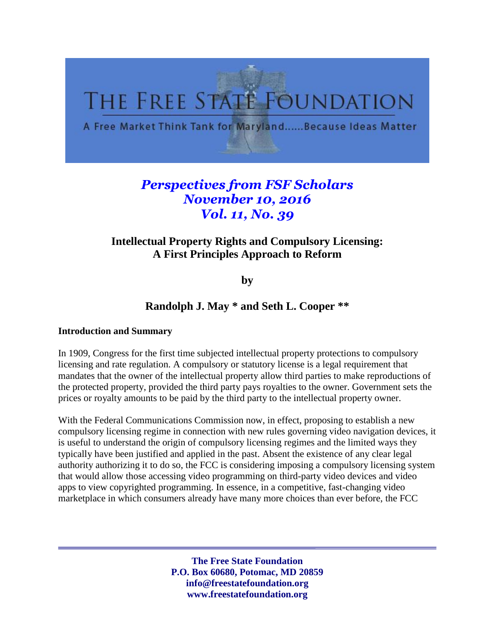

# *Perspectives from FSF Scholars November 10, 2016 Vol. 11, No. 39*

# **Intellectual Property Rights and Compulsory Licensing: A First Principles Approach to Reform**

**by** 

# **Randolph J. May \* and Seth L. Cooper \*\***

#### **Introduction and Summary**

In 1909, Congress for the first time subjected intellectual property protections to compulsory licensing and rate regulation. A compulsory or statutory license is a legal requirement that mandates that the owner of the intellectual property allow third parties to make reproductions of the protected property, provided the third party pays royalties to the owner. Government sets the prices or royalty amounts to be paid by the third party to the intellectual property owner.

With the Federal Communications Commission now, in effect, proposing to establish a new compulsory licensing regime in connection with new rules governing video navigation devices, it is useful to understand the origin of compulsory licensing regimes and the limited ways they typically have been justified and applied in the past. Absent the existence of any clear legal authority authorizing it to do so, the FCC is considering imposing a compulsory licensing system that would allow those accessing video programming on third-party video devices and video apps to view copyrighted programming. In essence, in a competitive, fast-changing video marketplace in which consumers already have many more choices than ever before, the FCC

> **The Free State Foundation P.O. Box 60680, Potomac, MD 20859 info@freestatefoundation.org www.freestatefoundation.org**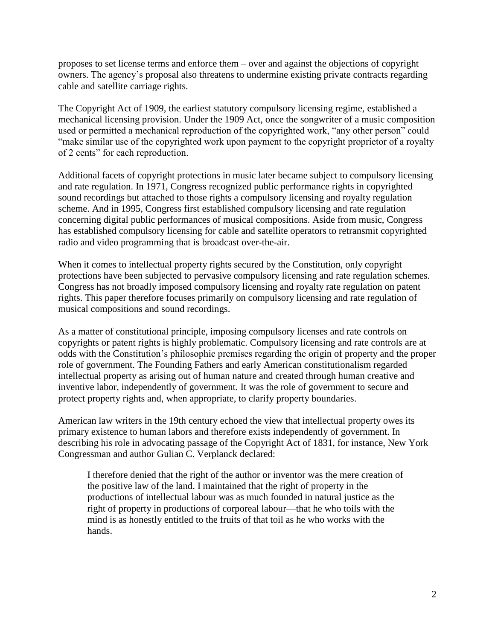proposes to set license terms and enforce them – over and against the objections of copyright owners. The agency's proposal also threatens to undermine existing private contracts regarding cable and satellite carriage rights.

The Copyright Act of 1909, the earliest statutory compulsory licensing regime, established a mechanical licensing provision. Under the 1909 Act, once the songwriter of a music composition used or permitted a mechanical reproduction of the copyrighted work, "any other person" could "make similar use of the copyrighted work upon payment to the copyright proprietor of a royalty of 2 cents" for each reproduction.

Additional facets of copyright protections in music later became subject to compulsory licensing and rate regulation. In 1971, Congress recognized public performance rights in copyrighted sound recordings but attached to those rights a compulsory licensing and royalty regulation scheme. And in 1995, Congress first established compulsory licensing and rate regulation concerning digital public performances of musical compositions. Aside from music, Congress has established compulsory licensing for cable and satellite operators to retransmit copyrighted radio and video programming that is broadcast over-the-air.

When it comes to intellectual property rights secured by the Constitution, only copyright protections have been subjected to pervasive compulsory licensing and rate regulation schemes. Congress has not broadly imposed compulsory licensing and royalty rate regulation on patent rights. This paper therefore focuses primarily on compulsory licensing and rate regulation of musical compositions and sound recordings.

As a matter of constitutional principle, imposing compulsory licenses and rate controls on copyrights or patent rights is highly problematic. Compulsory licensing and rate controls are at odds with the Constitution's philosophic premises regarding the origin of property and the proper role of government. The Founding Fathers and early American constitutionalism regarded intellectual property as arising out of human nature and created through human creative and inventive labor, independently of government. It was the role of government to secure and protect property rights and, when appropriate, to clarify property boundaries.

American law writers in the 19th century echoed the view that intellectual property owes its primary existence to human labors and therefore exists independently of government. In describing his role in advocating passage of the Copyright Act of 1831, for instance, New York Congressman and author Gulian C. Verplanck declared:

I therefore denied that the right of the author or inventor was the mere creation of the positive law of the land. I maintained that the right of property in the productions of intellectual labour was as much founded in natural justice as the right of property in productions of corporeal labour—that he who toils with the mind is as honestly entitled to the fruits of that toil as he who works with the hands.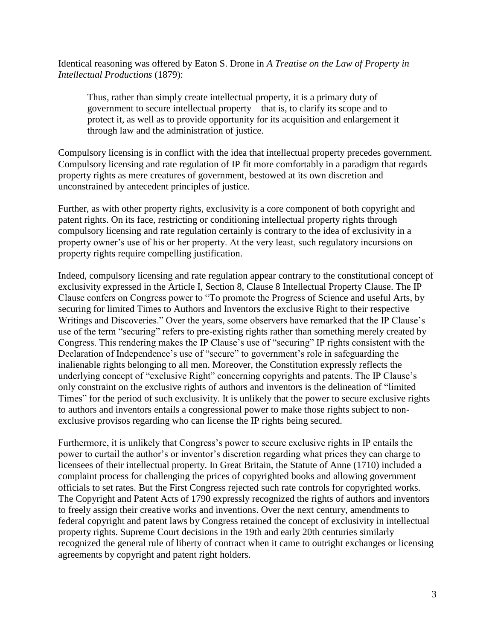Identical reasoning was offered by Eaton S. Drone in *A Treatise on the Law of Property in Intellectual Productions* (1879):

Thus, rather than simply create intellectual property, it is a primary duty of government to secure intellectual property – that is, to clarify its scope and to protect it, as well as to provide opportunity for its acquisition and enlargement it through law and the administration of justice.

Compulsory licensing is in conflict with the idea that intellectual property precedes government. Compulsory licensing and rate regulation of IP fit more comfortably in a paradigm that regards property rights as mere creatures of government, bestowed at its own discretion and unconstrained by antecedent principles of justice.

Further, as with other property rights, exclusivity is a core component of both copyright and patent rights. On its face, restricting or conditioning intellectual property rights through compulsory licensing and rate regulation certainly is contrary to the idea of exclusivity in a property owner's use of his or her property. At the very least, such regulatory incursions on property rights require compelling justification.

Indeed, compulsory licensing and rate regulation appear contrary to the constitutional concept of exclusivity expressed in the Article I, Section 8, Clause 8 Intellectual Property Clause. The IP Clause confers on Congress power to "To promote the Progress of Science and useful Arts, by securing for limited Times to Authors and Inventors the exclusive Right to their respective Writings and Discoveries." Over the years, some observers have remarked that the IP Clause's use of the term "securing" refers to pre-existing rights rather than something merely created by Congress. This rendering makes the IP Clause's use of "securing" IP rights consistent with the Declaration of Independence's use of "secure" to government's role in safeguarding the inalienable rights belonging to all men. Moreover, the Constitution expressly reflects the underlying concept of "exclusive Right" concerning copyrights and patents. The IP Clause's only constraint on the exclusive rights of authors and inventors is the delineation of "limited Times" for the period of such exclusivity. It is unlikely that the power to secure exclusive rights to authors and inventors entails a congressional power to make those rights subject to nonexclusive provisos regarding who can license the IP rights being secured.

Furthermore, it is unlikely that Congress's power to secure exclusive rights in IP entails the power to curtail the author's or inventor's discretion regarding what prices they can charge to licensees of their intellectual property. In Great Britain, the Statute of Anne (1710) included a complaint process for challenging the prices of copyrighted books and allowing government officials to set rates. But the First Congress rejected such rate controls for copyrighted works. The Copyright and Patent Acts of 1790 expressly recognized the rights of authors and inventors to freely assign their creative works and inventions. Over the next century, amendments to federal copyright and patent laws by Congress retained the concept of exclusivity in intellectual property rights. Supreme Court decisions in the 19th and early 20th centuries similarly recognized the general rule of liberty of contract when it came to outright exchanges or licensing agreements by copyright and patent right holders.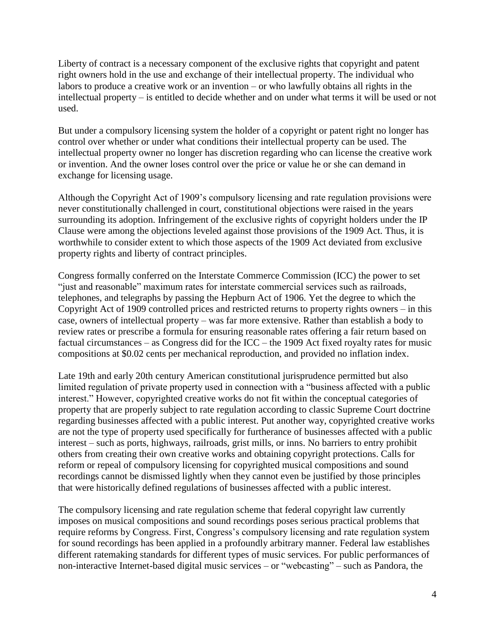Liberty of contract is a necessary component of the exclusive rights that copyright and patent right owners hold in the use and exchange of their intellectual property. The individual who labors to produce a creative work or an invention – or who lawfully obtains all rights in the intellectual property – is entitled to decide whether and on under what terms it will be used or not used.

But under a compulsory licensing system the holder of a copyright or patent right no longer has control over whether or under what conditions their intellectual property can be used. The intellectual property owner no longer has discretion regarding who can license the creative work or invention. And the owner loses control over the price or value he or she can demand in exchange for licensing usage.

Although the Copyright Act of 1909's compulsory licensing and rate regulation provisions were never constitutionally challenged in court, constitutional objections were raised in the years surrounding its adoption. Infringement of the exclusive rights of copyright holders under the IP Clause were among the objections leveled against those provisions of the 1909 Act. Thus, it is worthwhile to consider extent to which those aspects of the 1909 Act deviated from exclusive property rights and liberty of contract principles.

Congress formally conferred on the Interstate Commerce Commission (ICC) the power to set "just and reasonable" maximum rates for interstate commercial services such as railroads, telephones, and telegraphs by passing the Hepburn Act of 1906. Yet the degree to which the Copyright Act of 1909 controlled prices and restricted returns to property rights owners – in this case, owners of intellectual property – was far more extensive. Rather than establish a body to review rates or prescribe a formula for ensuring reasonable rates offering a fair return based on factual circumstances – as Congress did for the ICC – the 1909 Act fixed royalty rates for music compositions at \$0.02 cents per mechanical reproduction, and provided no inflation index.

Late 19th and early 20th century American constitutional jurisprudence permitted but also limited regulation of private property used in connection with a "business affected with a public interest." However, copyrighted creative works do not fit within the conceptual categories of property that are properly subject to rate regulation according to classic Supreme Court doctrine regarding businesses affected with a public interest. Put another way, copyrighted creative works are not the type of property used specifically for furtherance of businesses affected with a public interest – such as ports, highways, railroads, grist mills, or inns. No barriers to entry prohibit others from creating their own creative works and obtaining copyright protections. Calls for reform or repeal of compulsory licensing for copyrighted musical compositions and sound recordings cannot be dismissed lightly when they cannot even be justified by those principles that were historically defined regulations of businesses affected with a public interest.

The compulsory licensing and rate regulation scheme that federal copyright law currently imposes on musical compositions and sound recordings poses serious practical problems that require reforms by Congress. First, Congress's compulsory licensing and rate regulation system for sound recordings has been applied in a profoundly arbitrary manner. Federal law establishes different ratemaking standards for different types of music services. For public performances of non-interactive Internet-based digital music services – or "webcasting" – such as Pandora, the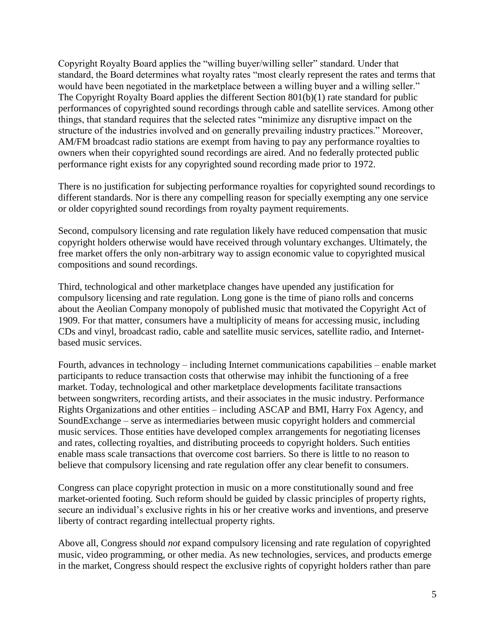Copyright Royalty Board applies the "willing buyer/willing seller" standard. Under that standard, the Board determines what royalty rates "most clearly represent the rates and terms that would have been negotiated in the marketplace between a willing buyer and a willing seller." The Copyright Royalty Board applies the different Section 801(b)(1) rate standard for public performances of copyrighted sound recordings through cable and satellite services. Among other things, that standard requires that the selected rates "minimize any disruptive impact on the structure of the industries involved and on generally prevailing industry practices." Moreover, AM/FM broadcast radio stations are exempt from having to pay any performance royalties to owners when their copyrighted sound recordings are aired. And no federally protected public performance right exists for any copyrighted sound recording made prior to 1972.

There is no justification for subjecting performance royalties for copyrighted sound recordings to different standards. Nor is there any compelling reason for specially exempting any one service or older copyrighted sound recordings from royalty payment requirements.

Second, compulsory licensing and rate regulation likely have reduced compensation that music copyright holders otherwise would have received through voluntary exchanges. Ultimately, the free market offers the only non-arbitrary way to assign economic value to copyrighted musical compositions and sound recordings.

Third, technological and other marketplace changes have upended any justification for compulsory licensing and rate regulation. Long gone is the time of piano rolls and concerns about the Aeolian Company monopoly of published music that motivated the Copyright Act of 1909. For that matter, consumers have a multiplicity of means for accessing music, including CDs and vinyl, broadcast radio, cable and satellite music services, satellite radio, and Internetbased music services.

Fourth, advances in technology – including Internet communications capabilities – enable market participants to reduce transaction costs that otherwise may inhibit the functioning of a free market. Today, technological and other marketplace developments facilitate transactions between songwriters, recording artists, and their associates in the music industry. Performance Rights Organizations and other entities – including ASCAP and BMI, Harry Fox Agency, and SoundExchange – serve as intermediaries between music copyright holders and commercial music services. Those entities have developed complex arrangements for negotiating licenses and rates, collecting royalties, and distributing proceeds to copyright holders. Such entities enable mass scale transactions that overcome cost barriers. So there is little to no reason to believe that compulsory licensing and rate regulation offer any clear benefit to consumers.

Congress can place copyright protection in music on a more constitutionally sound and free market-oriented footing. Such reform should be guided by classic principles of property rights, secure an individual's exclusive rights in his or her creative works and inventions, and preserve liberty of contract regarding intellectual property rights.

Above all, Congress should *not* expand compulsory licensing and rate regulation of copyrighted music, video programming, or other media. As new technologies, services, and products emerge in the market, Congress should respect the exclusive rights of copyright holders rather than pare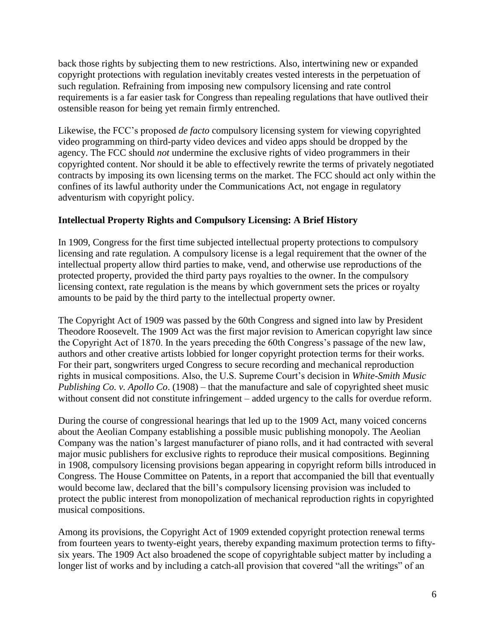back those rights by subjecting them to new restrictions. Also, intertwining new or expanded copyright protections with regulation inevitably creates vested interests in the perpetuation of such regulation. Refraining from imposing new compulsory licensing and rate control requirements is a far easier task for Congress than repealing regulations that have outlived their ostensible reason for being yet remain firmly entrenched.

Likewise, the FCC's proposed *de facto* compulsory licensing system for viewing copyrighted video programming on third-party video devices and video apps should be dropped by the agency. The FCC should *not* undermine the exclusive rights of video programmers in their copyrighted content. Nor should it be able to effectively rewrite the terms of privately negotiated contracts by imposing its own licensing terms on the market. The FCC should act only within the confines of its lawful authority under the Communications Act, not engage in regulatory adventurism with copyright policy.

### **Intellectual Property Rights and Compulsory Licensing: A Brief History**

In 1909, Congress for the first time subjected intellectual property protections to compulsory licensing and rate regulation. A compulsory license is a legal requirement that the owner of the intellectual property allow third parties to make, vend, and otherwise use reproductions of the protected property, provided the third party pays royalties to the owner. In the compulsory licensing context, rate regulation is the means by which government sets the prices or royalty amounts to be paid by the third party to the intellectual property owner.

The Copyright Act of 1909 was passed by the 60th Congress and signed into law by President Theodore Roosevelt. The 1909 Act was the first major revision to American copyright law since the Copyright Act of 1870. In the years preceding the 60th Congress's passage of the new law, authors and other creative artists lobbied for longer copyright protection terms for their works. For their part, songwriters urged Congress to secure recording and mechanical reproduction rights in musical compositions. Also, the U.S. Supreme Court's decision in *White-Smith Music Publishing Co. v. Apollo Co*. (1908) – that the manufacture and sale of copyrighted sheet music without consent did not constitute infringement – added urgency to the calls for overdue reform.

During the course of congressional hearings that led up to the 1909 Act, many voiced concerns about the Aeolian Company establishing a possible music publishing monopoly. The Aeolian Company was the nation's largest manufacturer of piano rolls, and it had contracted with several major music publishers for exclusive rights to reproduce their musical compositions. Beginning in 1908, compulsory licensing provisions began appearing in copyright reform bills introduced in Congress. The House Committee on Patents, in a report that accompanied the bill that eventually would become law, declared that the bill's compulsory licensing provision was included to protect the public interest from monopolization of mechanical reproduction rights in copyrighted musical compositions.

Among its provisions, the Copyright Act of 1909 extended copyright protection renewal terms from fourteen years to twenty-eight years, thereby expanding maximum protection terms to fiftysix years. The 1909 Act also broadened the scope of copyrightable subject matter by including a longer list of works and by including a catch-all provision that covered "all the writings" of an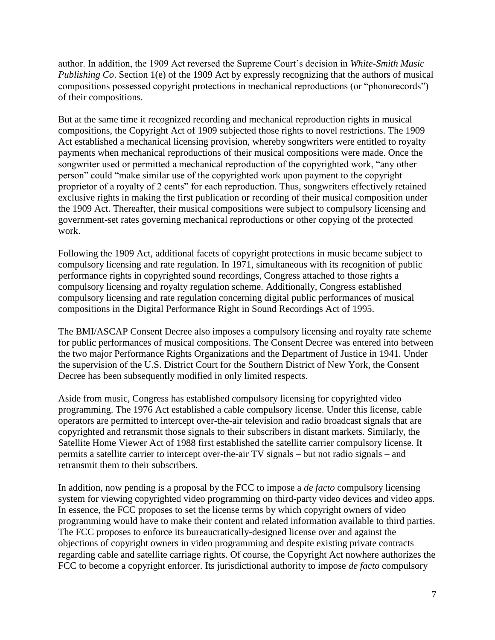author. In addition, the 1909 Act reversed the Supreme Court's decision in *White-Smith Music Publishing Co*. Section 1(e) of the 1909 Act by expressly recognizing that the authors of musical compositions possessed copyright protections in mechanical reproductions (or "phonorecords") of their compositions.

But at the same time it recognized recording and mechanical reproduction rights in musical compositions, the Copyright Act of 1909 subjected those rights to novel restrictions. The 1909 Act established a mechanical licensing provision, whereby songwriters were entitled to royalty payments when mechanical reproductions of their musical compositions were made. Once the songwriter used or permitted a mechanical reproduction of the copyrighted work, "any other person" could "make similar use of the copyrighted work upon payment to the copyright proprietor of a royalty of 2 cents" for each reproduction. Thus, songwriters effectively retained exclusive rights in making the first publication or recording of their musical composition under the 1909 Act. Thereafter, their musical compositions were subject to compulsory licensing and government-set rates governing mechanical reproductions or other copying of the protected work.

Following the 1909 Act, additional facets of copyright protections in music became subject to compulsory licensing and rate regulation. In 1971, simultaneous with its recognition of public performance rights in copyrighted sound recordings, Congress attached to those rights a compulsory licensing and royalty regulation scheme. Additionally, Congress established compulsory licensing and rate regulation concerning digital public performances of musical compositions in the Digital Performance Right in Sound Recordings Act of 1995.

The BMI/ASCAP Consent Decree also imposes a compulsory licensing and royalty rate scheme for public performances of musical compositions. The Consent Decree was entered into between the two major Performance Rights Organizations and the Department of Justice in 1941. Under the supervision of the U.S. District Court for the Southern District of New York, the Consent Decree has been subsequently modified in only limited respects.

Aside from music, Congress has established compulsory licensing for copyrighted video programming. The 1976 Act established a cable compulsory license. Under this license, cable operators are permitted to intercept over-the-air television and radio broadcast signals that are copyrighted and retransmit those signals to their subscribers in distant markets. Similarly, the Satellite Home Viewer Act of 1988 first established the satellite carrier compulsory license. It permits a satellite carrier to intercept over-the-air TV signals – but not radio signals – and retransmit them to their subscribers.

In addition, now pending is a proposal by the FCC to impose a *de facto* compulsory licensing system for viewing copyrighted video programming on third-party video devices and video apps. In essence, the FCC proposes to set the license terms by which copyright owners of video programming would have to make their content and related information available to third parties. The FCC proposes to enforce its bureaucratically-designed license over and against the objections of copyright owners in video programming and despite existing private contracts regarding cable and satellite carriage rights. Of course, the Copyright Act nowhere authorizes the FCC to become a copyright enforcer. Its jurisdictional authority to impose *de facto* compulsory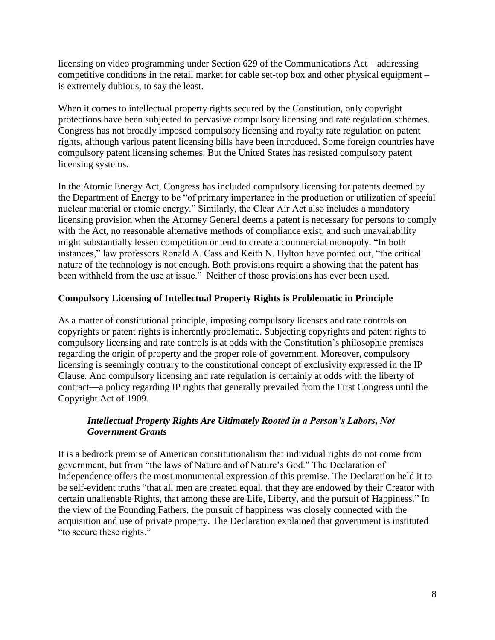licensing on video programming under Section 629 of the Communications Act – addressing competitive conditions in the retail market for cable set-top box and other physical equipment – is extremely dubious, to say the least.

When it comes to intellectual property rights secured by the Constitution, only copyright protections have been subjected to pervasive compulsory licensing and rate regulation schemes. Congress has not broadly imposed compulsory licensing and royalty rate regulation on patent rights, although various patent licensing bills have been introduced. Some foreign countries have compulsory patent licensing schemes. But the United States has resisted compulsory patent licensing systems.

In the Atomic Energy Act, Congress has included compulsory licensing for patents deemed by the Department of Energy to be "of primary importance in the production or utilization of special nuclear material or atomic energy." Similarly, the Clear Air Act also includes a mandatory licensing provision when the Attorney General deems a patent is necessary for persons to comply with the Act, no reasonable alternative methods of compliance exist, and such unavailability might substantially lessen competition or tend to create a commercial monopoly. "In both instances," law professors Ronald A. Cass and Keith N. Hylton have pointed out, "the critical nature of the technology is not enough. Both provisions require a showing that the patent has been withheld from the use at issue." Neither of those provisions has ever been used.

#### **Compulsory Licensing of Intellectual Property Rights is Problematic in Principle**

As a matter of constitutional principle, imposing compulsory licenses and rate controls on copyrights or patent rights is inherently problematic. Subjecting copyrights and patent rights to compulsory licensing and rate controls is at odds with the Constitution's philosophic premises regarding the origin of property and the proper role of government. Moreover, compulsory licensing is seemingly contrary to the constitutional concept of exclusivity expressed in the IP Clause. And compulsory licensing and rate regulation is certainly at odds with the liberty of contract—a policy regarding IP rights that generally prevailed from the First Congress until the Copyright Act of 1909.

#### *Intellectual Property Rights Are Ultimately Rooted in a Person's Labors, Not Government Grants*

It is a bedrock premise of American constitutionalism that individual rights do not come from government, but from "the laws of Nature and of Nature's God." The Declaration of Independence offers the most monumental expression of this premise. The Declaration held it to be self-evident truths "that all men are created equal, that they are endowed by their Creator with certain unalienable Rights, that among these are Life, Liberty, and the pursuit of Happiness." In the view of the Founding Fathers, the pursuit of happiness was closely connected with the acquisition and use of private property. The Declaration explained that government is instituted "to secure these rights."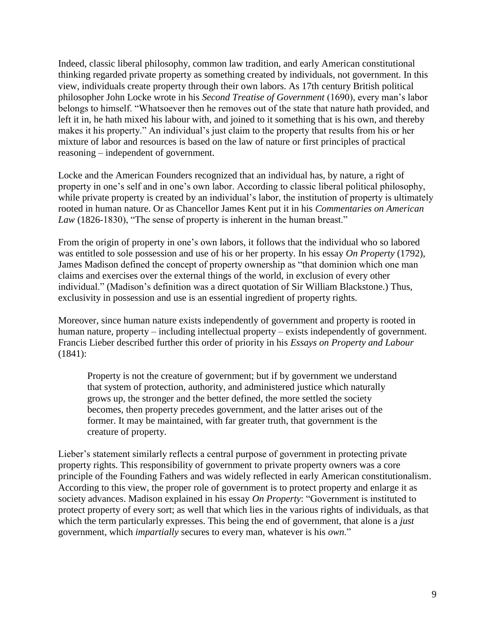Indeed, classic liberal philosophy, common law tradition, and early American constitutional thinking regarded private property as something created by individuals, not government. In this view, individuals create property through their own labors. As 17th century British political philosopher John Locke wrote in his *Second Treatise of Government* (1690), every man's labor belongs to himself. "Whatsoever then he removes out of the state that nature hath provided, and left it in, he hath mixed his labour with, and joined to it something that is his own, and thereby makes it his property." An individual's just claim to the property that results from his or her mixture of labor and resources is based on the law of nature or first principles of practical reasoning – independent of government.

Locke and the American Founders recognized that an individual has, by nature, a right of property in one's self and in one's own labor. According to classic liberal political philosophy, while private property is created by an individual's labor, the institution of property is ultimately rooted in human nature. Or as Chancellor James Kent put it in his *Commentaries on American Law* (1826-1830), "The sense of property is inherent in the human breast."

From the origin of property in one's own labors, it follows that the individual who so labored was entitled to sole possession and use of his or her property. In his essay *On Property* (1792), James Madison defined the concept of property ownership as "that dominion which one man claims and exercises over the external things of the world, in exclusion of every other individual." (Madison's definition was a direct quotation of Sir William Blackstone.) Thus, exclusivity in possession and use is an essential ingredient of property rights.

Moreover, since human nature exists independently of government and property is rooted in human nature, property – including intellectual property – exists independently of government. Francis Lieber described further this order of priority in his *Essays on Property and Labour* (1841):

Property is not the creature of government; but if by government we understand that system of protection, authority, and administered justice which naturally grows up, the stronger and the better defined, the more settled the society becomes, then property precedes government, and the latter arises out of the former. It may be maintained, with far greater truth, that government is the creature of property.

Lieber's statement similarly reflects a central purpose of government in protecting private property rights. This responsibility of government to private property owners was a core principle of the Founding Fathers and was widely reflected in early American constitutionalism. According to this view, the proper role of government is to protect property and enlarge it as society advances. Madison explained in his essay *On Property*: "Government is instituted to protect property of every sort; as well that which lies in the various rights of individuals, as that which the term particularly expresses. This being the end of government, that alone is a *just* government, which *impartially* secures to every man, whatever is his *own*."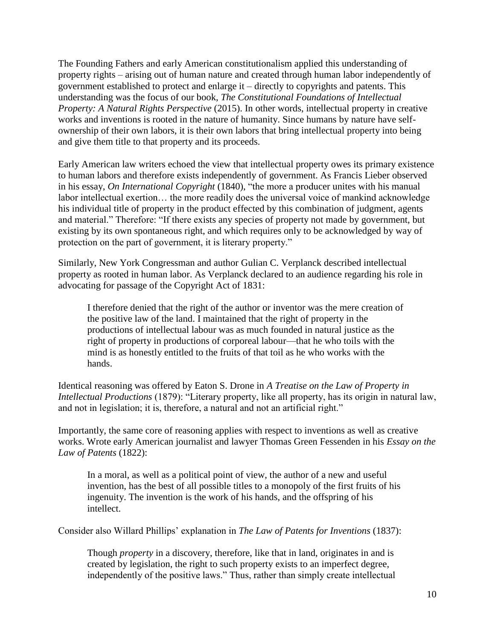The Founding Fathers and early American constitutionalism applied this understanding of property rights – arising out of human nature and created through human labor independently of government established to protect and enlarge it – directly to copyrights and patents. This understanding was the focus of our book, *The Constitutional Foundations of Intellectual Property: A Natural Rights Perspective* (2015). In other words, intellectual property in creative works and inventions is rooted in the nature of humanity. Since humans by nature have selfownership of their own labors, it is their own labors that bring intellectual property into being and give them title to that property and its proceeds.

Early American law writers echoed the view that intellectual property owes its primary existence to human labors and therefore exists independently of government. As Francis Lieber observed in his essay, *On International Copyright* (1840), "the more a producer unites with his manual labor intellectual exertion… the more readily does the universal voice of mankind acknowledge his individual title of property in the product effected by this combination of judgment, agents and material." Therefore: "If there exists any species of property not made by government, but existing by its own spontaneous right, and which requires only to be acknowledged by way of protection on the part of government, it is literary property."

Similarly, New York Congressman and author Gulian C. Verplanck described intellectual property as rooted in human labor. As Verplanck declared to an audience regarding his role in advocating for passage of the Copyright Act of 1831:

I therefore denied that the right of the author or inventor was the mere creation of the positive law of the land. I maintained that the right of property in the productions of intellectual labour was as much founded in natural justice as the right of property in productions of corporeal labour—that he who toils with the mind is as honestly entitled to the fruits of that toil as he who works with the hands.

Identical reasoning was offered by Eaton S. Drone in *A Treatise on the Law of Property in Intellectual Productions* (1879): "Literary property, like all property, has its origin in natural law, and not in legislation; it is, therefore, a natural and not an artificial right."

Importantly, the same core of reasoning applies with respect to inventions as well as creative works. Wrote early American journalist and lawyer Thomas Green Fessenden in his *Essay on the Law of Patents* (1822):

In a moral, as well as a political point of view, the author of a new and useful invention, has the best of all possible titles to a monopoly of the first fruits of his ingenuity. The invention is the work of his hands, and the offspring of his intellect.

Consider also Willard Phillips' explanation in *The Law of Patents for Inventions* (1837):

Though *property* in a discovery, therefore, like that in land, originates in and is created by legislation, the right to such property exists to an imperfect degree, independently of the positive laws." Thus, rather than simply create intellectual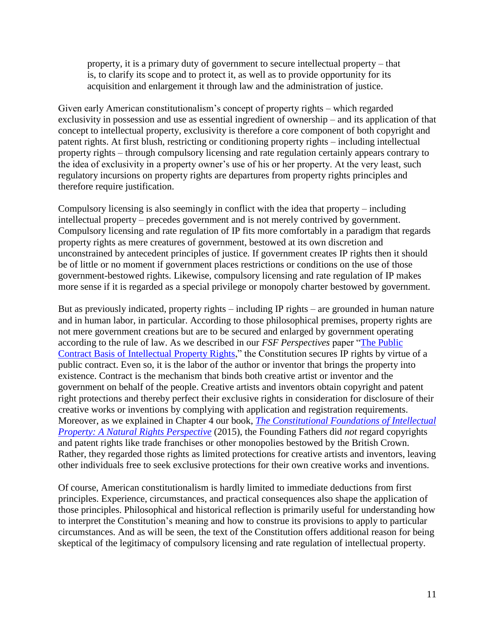property, it is a primary duty of government to secure intellectual property – that is, to clarify its scope and to protect it, as well as to provide opportunity for its acquisition and enlargement it through law and the administration of justice.

Given early American constitutionalism's concept of property rights – which regarded exclusivity in possession and use as essential ingredient of ownership – and its application of that concept to intellectual property, exclusivity is therefore a core component of both copyright and patent rights. At first blush, restricting or conditioning property rights – including intellectual property rights – through compulsory licensing and rate regulation certainly appears contrary to the idea of exclusivity in a property owner's use of his or her property. At the very least, such regulatory incursions on property rights are departures from property rights principles and therefore require justification.

Compulsory licensing is also seemingly in conflict with the idea that property – including intellectual property – precedes government and is not merely contrived by government. Compulsory licensing and rate regulation of IP fits more comfortably in a paradigm that regards property rights as mere creatures of government, bestowed at its own discretion and unconstrained by antecedent principles of justice. If government creates IP rights then it should be of little or no moment if government places restrictions or conditions on the use of those government-bestowed rights. Likewise, compulsory licensing and rate regulation of IP makes more sense if it is regarded as a special privilege or monopoly charter bestowed by government.

But as previously indicated, property rights – including IP rights – are grounded in human nature and in human labor, in particular. According to those philosophical premises, property rights are not mere government creations but are to be secured and enlarged by government operating according to the rule of law. As we described in our *FSF Perspectives* paper ["The Public](http://freestatefoundation.org/images/The_Public_Contract_Basis_of_Intellectual_Property_Rights_041816.pdf)  [Contract Basis of Intellectual Property Rights,](http://freestatefoundation.org/images/The_Public_Contract_Basis_of_Intellectual_Property_Rights_041816.pdf)" the Constitution secures IP rights by virtue of a public contract. Even so, it is the labor of the author or inventor that brings the property into existence. Contract is the mechanism that binds both creative artist or inventor and the government on behalf of the people. Creative artists and inventors obtain copyright and patent right protections and thereby perfect their exclusive rights in consideration for disclosure of their creative works or inventions by complying with application and registration requirements. Moreover, as we explained in Chapter 4 our book, *[The Constitutional Foundations of Intellectual](https://www.amazon.com/Constitutional-Foundations-Intellectual-Property-Perspective/dp/1611637090)  [Property: A Natural Rights Perspective](https://www.amazon.com/Constitutional-Foundations-Intellectual-Property-Perspective/dp/1611637090)* (2015), the Founding Fathers did *not* regard copyrights and patent rights like trade franchises or other monopolies bestowed by the British Crown. Rather, they regarded those rights as limited protections for creative artists and inventors, leaving other individuals free to seek exclusive protections for their own creative works and inventions.

Of course, American constitutionalism is hardly limited to immediate deductions from first principles. Experience, circumstances, and practical consequences also shape the application of those principles. Philosophical and historical reflection is primarily useful for understanding how to interpret the Constitution's meaning and how to construe its provisions to apply to particular circumstances. And as will be seen, the text of the Constitution offers additional reason for being skeptical of the legitimacy of compulsory licensing and rate regulation of intellectual property.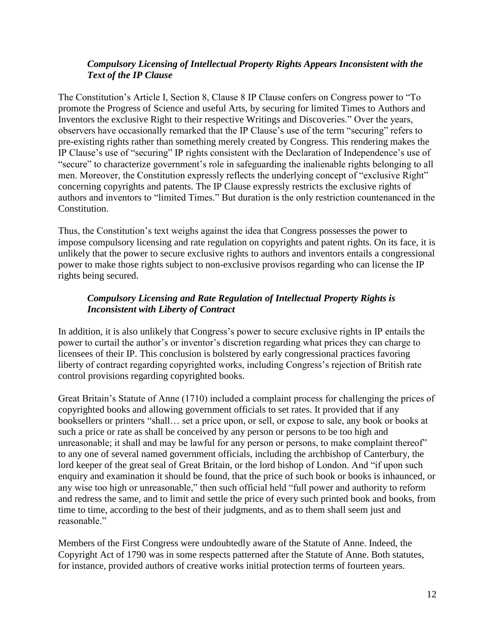#### *Compulsory Licensing of Intellectual Property Rights Appears Inconsistent with the Text of the IP Clause*

The Constitution's Article I, Section 8, Clause 8 IP Clause confers on Congress power to "To promote the Progress of Science and useful Arts, by securing for limited Times to Authors and Inventors the exclusive Right to their respective Writings and Discoveries." Over the years, observers have occasionally remarked that the IP Clause's use of the term "securing" refers to pre-existing rights rather than something merely created by Congress. This rendering makes the IP Clause's use of "securing" IP rights consistent with the Declaration of Independence's use of "secure" to characterize government's role in safeguarding the inalienable rights belonging to all men. Moreover, the Constitution expressly reflects the underlying concept of "exclusive Right" concerning copyrights and patents. The IP Clause expressly restricts the exclusive rights of authors and inventors to "limited Times." But duration is the only restriction countenanced in the Constitution.

Thus, the Constitution's text weighs against the idea that Congress possesses the power to impose compulsory licensing and rate regulation on copyrights and patent rights. On its face, it is unlikely that the power to secure exclusive rights to authors and inventors entails a congressional power to make those rights subject to non-exclusive provisos regarding who can license the IP rights being secured.

### *Compulsory Licensing and Rate Regulation of Intellectual Property Rights is Inconsistent with Liberty of Contract*

In addition, it is also unlikely that Congress's power to secure exclusive rights in IP entails the power to curtail the author's or inventor's discretion regarding what prices they can charge to licensees of their IP. This conclusion is bolstered by early congressional practices favoring liberty of contract regarding copyrighted works, including Congress's rejection of British rate control provisions regarding copyrighted books.

Great Britain's Statute of Anne (1710) included a complaint process for challenging the prices of copyrighted books and allowing government officials to set rates. It provided that if any booksellers or printers "shall… set a price upon, or sell, or expose to sale, any book or books at such a price or rate as shall be conceived by any person or persons to be too high and unreasonable; it shall and may be lawful for any person or persons, to make complaint thereof" to any one of several named government officials, including the archbishop of Canterbury, the lord keeper of the great seal of Great Britain, or the lord bishop of London. And "if upon such enquiry and examination it should be found, that the price of such book or books is inhaunced, or any wise too high or unreasonable," then such official held "full power and authority to reform and redress the same, and to limit and settle the price of every such printed book and books, from time to time, according to the best of their judgments, and as to them shall seem just and reasonable."

Members of the First Congress were undoubtedly aware of the Statute of Anne. Indeed, the Copyright Act of 1790 was in some respects patterned after the Statute of Anne. Both statutes, for instance, provided authors of creative works initial protection terms of fourteen years.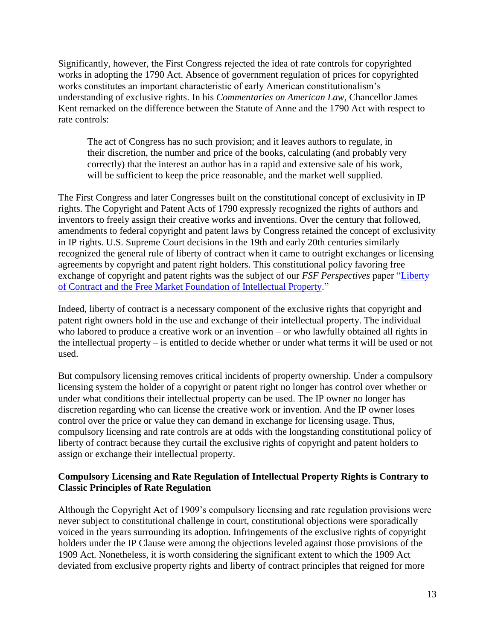Significantly, however, the First Congress rejected the idea of rate controls for copyrighted works in adopting the 1790 Act. Absence of government regulation of prices for copyrighted works constitutes an important characteristic of early American constitutionalism's understanding of exclusive rights. In his *Commentaries on American Law*, Chancellor James Kent remarked on the difference between the Statute of Anne and the 1790 Act with respect to rate controls:

The act of Congress has no such provision; and it leaves authors to regulate, in their discretion, the number and price of the books, calculating (and probably very correctly) that the interest an author has in a rapid and extensive sale of his work, will be sufficient to keep the price reasonable, and the market well supplied.

The First Congress and later Congresses built on the constitutional concept of exclusivity in IP rights. The Copyright and Patent Acts of 1790 expressly recognized the rights of authors and inventors to freely assign their creative works and inventions. Over the century that followed, amendments to federal copyright and patent laws by Congress retained the concept of exclusivity in IP rights. U.S. Supreme Court decisions in the 19th and early 20th centuries similarly recognized the general rule of liberty of contract when it came to outright exchanges or licensing agreements by copyright and patent right holders. This constitutional policy favoring free exchange of copyright and patent rights was the subject of our *FSF Perspectives* paper ["Liberty](http://www.freestatefoundation.org/images/Liberty_of_Contract_and_the_Free_Market_Foundations_of_Intellectual_Property_072916.pdf)  [of Contract and the Free Market Foundation of Intellectual Property.](http://www.freestatefoundation.org/images/Liberty_of_Contract_and_the_Free_Market_Foundations_of_Intellectual_Property_072916.pdf)"

Indeed, liberty of contract is a necessary component of the exclusive rights that copyright and patent right owners hold in the use and exchange of their intellectual property. The individual who labored to produce a creative work or an invention – or who lawfully obtained all rights in the intellectual property – is entitled to decide whether or under what terms it will be used or not used.

But compulsory licensing removes critical incidents of property ownership. Under a compulsory licensing system the holder of a copyright or patent right no longer has control over whether or under what conditions their intellectual property can be used. The IP owner no longer has discretion regarding who can license the creative work or invention. And the IP owner loses control over the price or value they can demand in exchange for licensing usage. Thus, compulsory licensing and rate controls are at odds with the longstanding constitutional policy of liberty of contract because they curtail the exclusive rights of copyright and patent holders to assign or exchange their intellectual property.

#### **Compulsory Licensing and Rate Regulation of Intellectual Property Rights is Contrary to Classic Principles of Rate Regulation**

Although the Copyright Act of 1909's compulsory licensing and rate regulation provisions were never subject to constitutional challenge in court, constitutional objections were sporadically voiced in the years surrounding its adoption. Infringements of the exclusive rights of copyright holders under the IP Clause were among the objections leveled against those provisions of the 1909 Act. Nonetheless, it is worth considering the significant extent to which the 1909 Act deviated from exclusive property rights and liberty of contract principles that reigned for more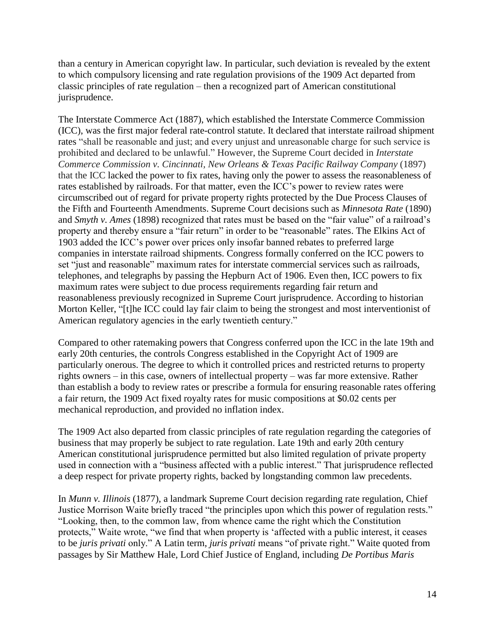than a century in American copyright law. In particular, such deviation is revealed by the extent to which compulsory licensing and rate regulation provisions of the 1909 Act departed from classic principles of rate regulation – then a recognized part of American constitutional jurisprudence.

The Interstate Commerce Act (1887), which established the Interstate Commerce Commission (ICC), was the first major federal rate-control statute. It declared that interstate railroad shipment rates "shall be reasonable and just; and every unjust and unreasonable charge for such service is prohibited and declared to be unlawful." However, the Supreme Court decided in *Interstate Commerce Commission v. Cincinnati, New Orleans & Texas Pacific Railway Company* (1897) that the ICC lacked the power to fix rates, having only the power to assess the reasonableness of rates established by railroads. For that matter, even the ICC's power to review rates were circumscribed out of regard for private property rights protected by the Due Process Clauses of the Fifth and Fourteenth Amendments. Supreme Court decisions such as *Minnesota Rate* (1890) and *Smyth v. Ames* (1898) recognized that rates must be based on the "fair value" of a railroad's property and thereby ensure a "fair return" in order to be "reasonable" rates. The Elkins Act of 1903 added the ICC's power over prices only insofar banned rebates to preferred large companies in interstate railroad shipments. Congress formally conferred on the ICC powers to set "just and reasonable" maximum rates for interstate commercial services such as railroads, telephones, and telegraphs by passing the Hepburn Act of 1906. Even then, ICC powers to fix maximum rates were subject to due process requirements regarding fair return and reasonableness previously recognized in Supreme Court jurisprudence. According to historian Morton Keller, "[t]he ICC could lay fair claim to being the strongest and most interventionist of American regulatory agencies in the early twentieth century."

Compared to other ratemaking powers that Congress conferred upon the ICC in the late 19th and early 20th centuries, the controls Congress established in the Copyright Act of 1909 are particularly onerous. The degree to which it controlled prices and restricted returns to property rights owners – in this case, owners of intellectual property – was far more extensive. Rather than establish a body to review rates or prescribe a formula for ensuring reasonable rates offering a fair return, the 1909 Act fixed royalty rates for music compositions at \$0.02 cents per mechanical reproduction, and provided no inflation index.

The 1909 Act also departed from classic principles of rate regulation regarding the categories of business that may properly be subject to rate regulation. Late 19th and early 20th century American constitutional jurisprudence permitted but also limited regulation of private property used in connection with a "business affected with a public interest." That jurisprudence reflected a deep respect for private property rights, backed by longstanding common law precedents.

In *Munn v. Illinois* (1877), a landmark Supreme Court decision regarding rate regulation, Chief Justice Morrison Waite briefly traced "the principles upon which this power of regulation rests." "Looking, then, to the common law, from whence came the right which the Constitution protects," Waite wrote, "we find that when property is 'affected with a public interest, it ceases to be *juris privati* only." A Latin term, *juris privati* means "of private right." Waite quoted from passages by Sir Matthew Hale, Lord Chief Justice of England, including *De Portibus Maris*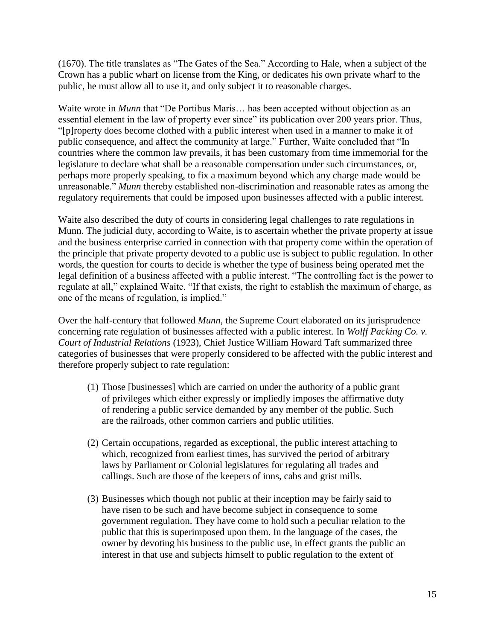(1670). The title translates as "The Gates of the Sea." According to Hale, when a subject of the Crown has a public wharf on license from the King, or dedicates his own private wharf to the public, he must allow all to use it, and only subject it to reasonable charges.

Waite wrote in *Munn* that "De Portibus Maris... has been accepted without objection as an essential element in the law of property ever since" its publication over 200 years prior. Thus, "[p]roperty does become clothed with a public interest when used in a manner to make it of public consequence, and affect the community at large." Further, Waite concluded that "In countries where the common law prevails, it has been customary from time immemorial for the legislature to declare what shall be a reasonable compensation under such circumstances, or, perhaps more properly speaking, to fix a maximum beyond which any charge made would be unreasonable." *Munn* thereby established non-discrimination and reasonable rates as among the regulatory requirements that could be imposed upon businesses affected with a public interest.

Waite also described the duty of courts in considering legal challenges to rate regulations in Munn. The judicial duty, according to Waite, is to ascertain whether the private property at issue and the business enterprise carried in connection with that property come within the operation of the principle that private property devoted to a public use is subject to public regulation. In other words, the question for courts to decide is whether the type of business being operated met the legal definition of a business affected with a public interest. "The controlling fact is the power to regulate at all," explained Waite. "If that exists, the right to establish the maximum of charge, as one of the means of regulation, is implied."

Over the half-century that followed *Munn*, the Supreme Court elaborated on its jurisprudence concerning rate regulation of businesses affected with a public interest. In *Wolff Packing Co. v. Court of Industrial Relations* (1923), Chief Justice William Howard Taft summarized three categories of businesses that were properly considered to be affected with the public interest and therefore properly subject to rate regulation:

- (1) Those [businesses] which are carried on under the authority of a public grant of privileges which either expressly or impliedly imposes the affirmative duty of rendering a public service demanded by any member of the public. Such are the railroads, other common carriers and public utilities.
- (2) Certain occupations, regarded as exceptional, the public interest attaching to which, recognized from earliest times, has survived the period of arbitrary laws by Parliament or Colonial legislatures for regulating all trades and callings. Such are those of the keepers of inns, cabs and grist mills.
- (3) Businesses which though not public at their inception may be fairly said to have risen to be such and have become subject in consequence to some government regulation. They have come to hold such a peculiar relation to the public that this is superimposed upon them. In the language of the cases, the owner by devoting his business to the public use, in effect grants the public an interest in that use and subjects himself to public regulation to the extent of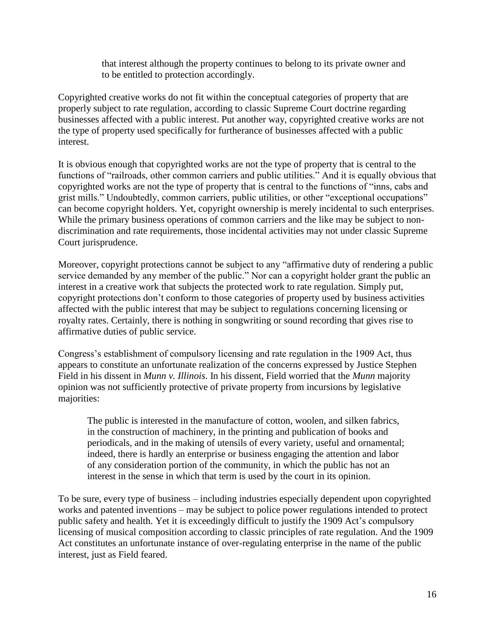that interest although the property continues to belong to its private owner and to be entitled to protection accordingly.

Copyrighted creative works do not fit within the conceptual categories of property that are properly subject to rate regulation, according to classic Supreme Court doctrine regarding businesses affected with a public interest. Put another way, copyrighted creative works are not the type of property used specifically for furtherance of businesses affected with a public interest.

It is obvious enough that copyrighted works are not the type of property that is central to the functions of "railroads, other common carriers and public utilities." And it is equally obvious that copyrighted works are not the type of property that is central to the functions of "inns, cabs and grist mills." Undoubtedly, common carriers, public utilities, or other "exceptional occupations" can become copyright holders. Yet, copyright ownership is merely incidental to such enterprises. While the primary business operations of common carriers and the like may be subject to nondiscrimination and rate requirements, those incidental activities may not under classic Supreme Court jurisprudence.

Moreover, copyright protections cannot be subject to any "affirmative duty of rendering a public service demanded by any member of the public." Nor can a copyright holder grant the public an interest in a creative work that subjects the protected work to rate regulation. Simply put, copyright protections don't conform to those categories of property used by business activities affected with the public interest that may be subject to regulations concerning licensing or royalty rates. Certainly, there is nothing in songwriting or sound recording that gives rise to affirmative duties of public service.

Congress's establishment of compulsory licensing and rate regulation in the 1909 Act, thus appears to constitute an unfortunate realization of the concerns expressed by Justice Stephen Field in his dissent in *Munn v. Illinois*. In his dissent, Field worried that the *Munn* majority opinion was not sufficiently protective of private property from incursions by legislative majorities:

The public is interested in the manufacture of cotton, woolen, and silken fabrics, in the construction of machinery, in the printing and publication of books and periodicals, and in the making of utensils of every variety, useful and ornamental; indeed, there is hardly an enterprise or business engaging the attention and labor of any consideration portion of the community, in which the public has not an interest in the sense in which that term is used by the court in its opinion.

To be sure, every type of business – including industries especially dependent upon copyrighted works and patented inventions – may be subject to police power regulations intended to protect public safety and health. Yet it is exceedingly difficult to justify the 1909 Act's compulsory licensing of musical composition according to classic principles of rate regulation. And the 1909 Act constitutes an unfortunate instance of over-regulating enterprise in the name of the public interest, just as Field feared.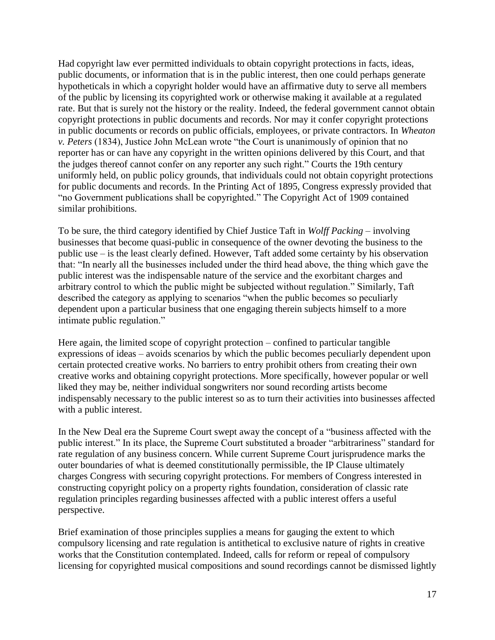Had copyright law ever permitted individuals to obtain copyright protections in facts, ideas, public documents, or information that is in the public interest, then one could perhaps generate hypotheticals in which a copyright holder would have an affirmative duty to serve all members of the public by licensing its copyrighted work or otherwise making it available at a regulated rate. But that is surely not the history or the reality. Indeed, the federal government cannot obtain copyright protections in public documents and records. Nor may it confer copyright protections in public documents or records on public officials, employees, or private contractors. In *Wheaton v. Peters* (1834), Justice John McLean wrote "the Court is unanimously of opinion that no reporter has or can have any copyright in the written opinions delivered by this Court, and that the judges thereof cannot confer on any reporter any such right." Courts the 19th century uniformly held, on public policy grounds, that individuals could not obtain copyright protections for public documents and records. In the Printing Act of 1895, Congress expressly provided that "no Government publications shall be copyrighted." The Copyright Act of 1909 contained similar prohibitions.

To be sure, the third category identified by Chief Justice Taft in *Wolff Packing* – involving businesses that become quasi-public in consequence of the owner devoting the business to the public use – is the least clearly defined. However, Taft added some certainty by his observation that: "In nearly all the businesses included under the third head above, the thing which gave the public interest was the indispensable nature of the service and the exorbitant charges and arbitrary control to which the public might be subjected without regulation." Similarly, Taft described the category as applying to scenarios "when the public becomes so peculiarly dependent upon a particular business that one engaging therein subjects himself to a more intimate public regulation."

Here again, the limited scope of copyright protection – confined to particular tangible expressions of ideas – avoids scenarios by which the public becomes peculiarly dependent upon certain protected creative works. No barriers to entry prohibit others from creating their own creative works and obtaining copyright protections. More specifically, however popular or well liked they may be, neither individual songwriters nor sound recording artists become indispensably necessary to the public interest so as to turn their activities into businesses affected with a public interest.

In the New Deal era the Supreme Court swept away the concept of a "business affected with the public interest." In its place, the Supreme Court substituted a broader "arbitrariness" standard for rate regulation of any business concern. While current Supreme Court jurisprudence marks the outer boundaries of what is deemed constitutionally permissible, the IP Clause ultimately charges Congress with securing copyright protections. For members of Congress interested in constructing copyright policy on a property rights foundation, consideration of classic rate regulation principles regarding businesses affected with a public interest offers a useful perspective.

Brief examination of those principles supplies a means for gauging the extent to which compulsory licensing and rate regulation is antithetical to exclusive nature of rights in creative works that the Constitution contemplated. Indeed, calls for reform or repeal of compulsory licensing for copyrighted musical compositions and sound recordings cannot be dismissed lightly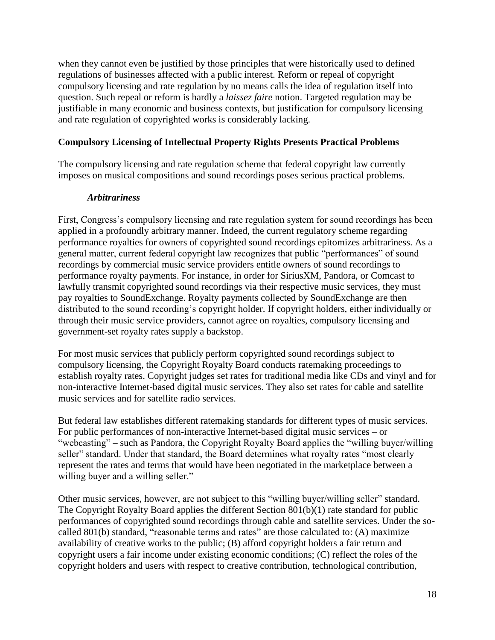when they cannot even be justified by those principles that were historically used to defined regulations of businesses affected with a public interest. Reform or repeal of copyright compulsory licensing and rate regulation by no means calls the idea of regulation itself into question. Such repeal or reform is hardly a *laissez faire* notion. Targeted regulation may be justifiable in many economic and business contexts, but justification for compulsory licensing and rate regulation of copyrighted works is considerably lacking.

#### **Compulsory Licensing of Intellectual Property Rights Presents Practical Problems**

The compulsory licensing and rate regulation scheme that federal copyright law currently imposes on musical compositions and sound recordings poses serious practical problems.

#### *Arbitrariness*

First, Congress's compulsory licensing and rate regulation system for sound recordings has been applied in a profoundly arbitrary manner. Indeed, the current regulatory scheme regarding performance royalties for owners of copyrighted sound recordings epitomizes arbitrariness. As a general matter, current federal copyright law recognizes that public "performances" of sound recordings by commercial music service providers entitle owners of sound recordings to performance royalty payments. For instance, in order for SiriusXM, Pandora, or Comcast to lawfully transmit copyrighted sound recordings via their respective music services, they must pay royalties to SoundExchange. Royalty payments collected by SoundExchange are then distributed to the sound recording's copyright holder. If copyright holders, either individually or through their music service providers, cannot agree on royalties, compulsory licensing and government-set royalty rates supply a backstop.

For most music services that publicly perform copyrighted sound recordings subject to compulsory licensing, the Copyright Royalty Board conducts ratemaking proceedings to establish royalty rates. Copyright judges set rates for traditional media like CDs and vinyl and for non-interactive Internet-based digital music services. They also set rates for cable and satellite music services and for satellite radio services.

But federal law establishes different ratemaking standards for different types of music services. For public performances of non-interactive Internet-based digital music services – or "webcasting" – such as Pandora, the Copyright Royalty Board applies the "willing buyer/willing seller" standard. Under that standard, the Board determines what royalty rates "most clearly represent the rates and terms that would have been negotiated in the marketplace between a willing buyer and a willing seller."

Other music services, however, are not subject to this "willing buyer/willing seller" standard. The Copyright Royalty Board applies the different Section 801(b)(1) rate standard for public performances of copyrighted sound recordings through cable and satellite services. Under the socalled 801(b) standard, "reasonable terms and rates" are those calculated to: (A) maximize availability of creative works to the public; (B) afford copyright holders a fair return and copyright users a fair income under existing economic conditions; (C) reflect the roles of the copyright holders and users with respect to creative contribution, technological contribution,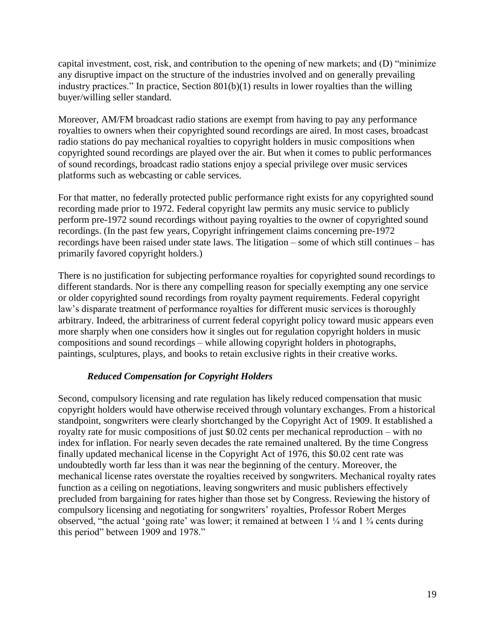capital investment, cost, risk, and contribution to the opening of new markets; and (D) "minimize any disruptive impact on the structure of the industries involved and on generally prevailing industry practices." In practice, Section 801(b)(1) results in lower royalties than the willing buyer/willing seller standard.

Moreover, AM/FM broadcast radio stations are exempt from having to pay any performance royalties to owners when their copyrighted sound recordings are aired. In most cases, broadcast radio stations do pay mechanical royalties to copyright holders in music compositions when copyrighted sound recordings are played over the air. But when it comes to public performances of sound recordings, broadcast radio stations enjoy a special privilege over music services platforms such as webcasting or cable services.

For that matter, no federally protected public performance right exists for any copyrighted sound recording made prior to 1972. Federal copyright law permits any music service to publicly perform pre-1972 sound recordings without paying royalties to the owner of copyrighted sound recordings. (In the past few years, Copyright infringement claims concerning pre-1972 recordings have been raised under state laws. The litigation – some of which still continues – has primarily favored copyright holders.)

There is no justification for subjecting performance royalties for copyrighted sound recordings to different standards. Nor is there any compelling reason for specially exempting any one service or older copyrighted sound recordings from royalty payment requirements. Federal copyright law's disparate treatment of performance royalties for different music services is thoroughly arbitrary. Indeed, the arbitrariness of current federal copyright policy toward music appears even more sharply when one considers how it singles out for regulation copyright holders in music compositions and sound recordings – while allowing copyright holders in photographs, paintings, sculptures, plays, and books to retain exclusive rights in their creative works.

#### *Reduced Compensation for Copyright Holders*

Second, compulsory licensing and rate regulation has likely reduced compensation that music copyright holders would have otherwise received through voluntary exchanges. From a historical standpoint, songwriters were clearly shortchanged by the Copyright Act of 1909. It established a royalty rate for music compositions of just \$0.02 cents per mechanical reproduction – with no index for inflation. For nearly seven decades the rate remained unaltered. By the time Congress finally updated mechanical license in the Copyright Act of 1976, this \$0.02 cent rate was undoubtedly worth far less than it was near the beginning of the century. Moreover, the mechanical license rates overstate the royalties received by songwriters. Mechanical royalty rates function as a ceiling on negotiations, leaving songwriters and music publishers effectively precluded from bargaining for rates higher than those set by Congress. Reviewing the history of compulsory licensing and negotiating for songwriters' royalties, Professor Robert Merges observed, "the actual 'going rate' was lower; it remained at between  $1\frac{1}{4}$  and  $1\frac{3}{4}$  cents during this period" between 1909 and 1978."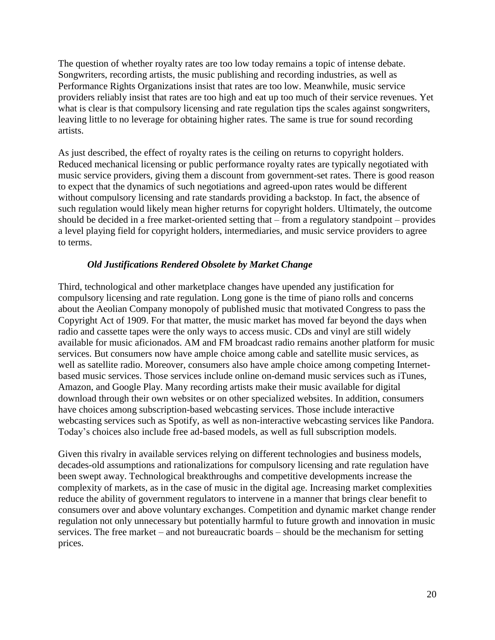The question of whether royalty rates are too low today remains a topic of intense debate. Songwriters, recording artists, the music publishing and recording industries, as well as Performance Rights Organizations insist that rates are too low. Meanwhile, music service providers reliably insist that rates are too high and eat up too much of their service revenues. Yet what is clear is that compulsory licensing and rate regulation tips the scales against songwriters, leaving little to no leverage for obtaining higher rates. The same is true for sound recording artists.

As just described, the effect of royalty rates is the ceiling on returns to copyright holders. Reduced mechanical licensing or public performance royalty rates are typically negotiated with music service providers, giving them a discount from government-set rates. There is good reason to expect that the dynamics of such negotiations and agreed-upon rates would be different without compulsory licensing and rate standards providing a backstop. In fact, the absence of such regulation would likely mean higher returns for copyright holders. Ultimately, the outcome should be decided in a free market-oriented setting that – from a regulatory standpoint – provides a level playing field for copyright holders, intermediaries, and music service providers to agree to terms.

#### *Old Justifications Rendered Obsolete by Market Change*

Third, technological and other marketplace changes have upended any justification for compulsory licensing and rate regulation. Long gone is the time of piano rolls and concerns about the Aeolian Company monopoly of published music that motivated Congress to pass the Copyright Act of 1909. For that matter, the music market has moved far beyond the days when radio and cassette tapes were the only ways to access music. CDs and vinyl are still widely available for music aficionados. AM and FM broadcast radio remains another platform for music services. But consumers now have ample choice among cable and satellite music services, as well as satellite radio. Moreover, consumers also have ample choice among competing Internetbased music services. Those services include online on-demand music services such as iTunes, Amazon, and Google Play. Many recording artists make their music available for digital download through their own websites or on other specialized websites. In addition, consumers have choices among subscription-based webcasting services. Those include interactive webcasting services such as Spotify, as well as non-interactive webcasting services like Pandora. Today's choices also include free ad-based models, as well as full subscription models.

Given this rivalry in available services relying on different technologies and business models, decades-old assumptions and rationalizations for compulsory licensing and rate regulation have been swept away. Technological breakthroughs and competitive developments increase the complexity of markets, as in the case of music in the digital age. Increasing market complexities reduce the ability of government regulators to intervene in a manner that brings clear benefit to consumers over and above voluntary exchanges. Competition and dynamic market change render regulation not only unnecessary but potentially harmful to future growth and innovation in music services. The free market – and not bureaucratic boards – should be the mechanism for setting prices.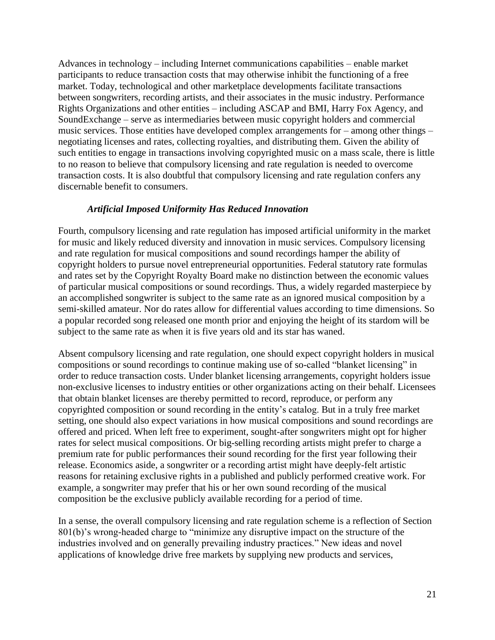Advances in technology – including Internet communications capabilities – enable market participants to reduce transaction costs that may otherwise inhibit the functioning of a free market. Today, technological and other marketplace developments facilitate transactions between songwriters, recording artists, and their associates in the music industry. Performance Rights Organizations and other entities – including ASCAP and BMI, Harry Fox Agency, and SoundExchange – serve as intermediaries between music copyright holders and commercial music services. Those entities have developed complex arrangements for – among other things – negotiating licenses and rates, collecting royalties, and distributing them. Given the ability of such entities to engage in transactions involving copyrighted music on a mass scale, there is little to no reason to believe that compulsory licensing and rate regulation is needed to overcome transaction costs. It is also doubtful that compulsory licensing and rate regulation confers any discernable benefit to consumers.

#### *Artificial Imposed Uniformity Has Reduced Innovation*

Fourth, compulsory licensing and rate regulation has imposed artificial uniformity in the market for music and likely reduced diversity and innovation in music services. Compulsory licensing and rate regulation for musical compositions and sound recordings hamper the ability of copyright holders to pursue novel entrepreneurial opportunities. Federal statutory rate formulas and rates set by the Copyright Royalty Board make no distinction between the economic values of particular musical compositions or sound recordings. Thus, a widely regarded masterpiece by an accomplished songwriter is subject to the same rate as an ignored musical composition by a semi-skilled amateur. Nor do rates allow for differential values according to time dimensions. So a popular recorded song released one month prior and enjoying the height of its stardom will be subject to the same rate as when it is five years old and its star has waned.

Absent compulsory licensing and rate regulation, one should expect copyright holders in musical compositions or sound recordings to continue making use of so-called "blanket licensing" in order to reduce transaction costs. Under blanket licensing arrangements, copyright holders issue non-exclusive licenses to industry entities or other organizations acting on their behalf. Licensees that obtain blanket licenses are thereby permitted to record, reproduce, or perform any copyrighted composition or sound recording in the entity's catalog. But in a truly free market setting, one should also expect variations in how musical compositions and sound recordings are offered and priced. When left free to experiment, sought-after songwriters might opt for higher rates for select musical compositions. Or big-selling recording artists might prefer to charge a premium rate for public performances their sound recording for the first year following their release. Economics aside, a songwriter or a recording artist might have deeply-felt artistic reasons for retaining exclusive rights in a published and publicly performed creative work. For example, a songwriter may prefer that his or her own sound recording of the musical composition be the exclusive publicly available recording for a period of time.

In a sense, the overall compulsory licensing and rate regulation scheme is a reflection of Section 801(b)'s wrong-headed charge to "minimize any disruptive impact on the structure of the industries involved and on generally prevailing industry practices." New ideas and novel applications of knowledge drive free markets by supplying new products and services,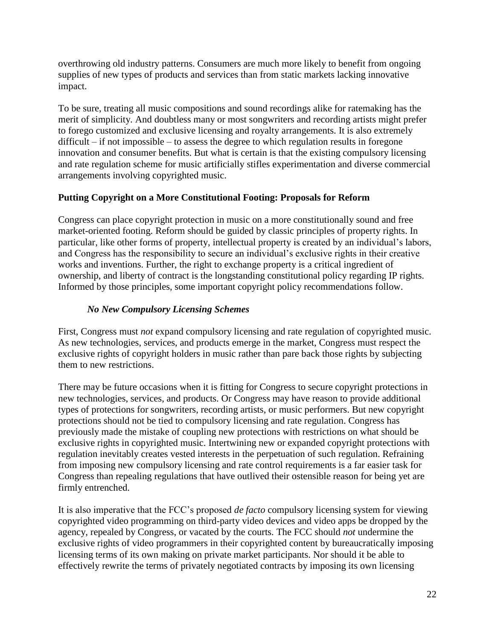overthrowing old industry patterns. Consumers are much more likely to benefit from ongoing supplies of new types of products and services than from static markets lacking innovative impact.

To be sure, treating all music compositions and sound recordings alike for ratemaking has the merit of simplicity. And doubtless many or most songwriters and recording artists might prefer to forego customized and exclusive licensing and royalty arrangements. It is also extremely difficult – if not impossible – to assess the degree to which regulation results in foregone innovation and consumer benefits. But what is certain is that the existing compulsory licensing and rate regulation scheme for music artificially stifles experimentation and diverse commercial arrangements involving copyrighted music.

# **Putting Copyright on a More Constitutional Footing: Proposals for Reform**

Congress can place copyright protection in music on a more constitutionally sound and free market-oriented footing. Reform should be guided by classic principles of property rights. In particular, like other forms of property, intellectual property is created by an individual's labors, and Congress has the responsibility to secure an individual's exclusive rights in their creative works and inventions. Further, the right to exchange property is a critical ingredient of ownership, and liberty of contract is the longstanding constitutional policy regarding IP rights. Informed by those principles, some important copyright policy recommendations follow.

### *No New Compulsory Licensing Schemes*

First, Congress must *not* expand compulsory licensing and rate regulation of copyrighted music. As new technologies, services, and products emerge in the market, Congress must respect the exclusive rights of copyright holders in music rather than pare back those rights by subjecting them to new restrictions.

There may be future occasions when it is fitting for Congress to secure copyright protections in new technologies, services, and products. Or Congress may have reason to provide additional types of protections for songwriters, recording artists, or music performers. But new copyright protections should not be tied to compulsory licensing and rate regulation. Congress has previously made the mistake of coupling new protections with restrictions on what should be exclusive rights in copyrighted music. Intertwining new or expanded copyright protections with regulation inevitably creates vested interests in the perpetuation of such regulation. Refraining from imposing new compulsory licensing and rate control requirements is a far easier task for Congress than repealing regulations that have outlived their ostensible reason for being yet are firmly entrenched.

It is also imperative that the FCC's proposed *de facto* compulsory licensing system for viewing copyrighted video programming on third-party video devices and video apps be dropped by the agency, repealed by Congress, or vacated by the courts. The FCC should *not* undermine the exclusive rights of video programmers in their copyrighted content by bureaucratically imposing licensing terms of its own making on private market participants. Nor should it be able to effectively rewrite the terms of privately negotiated contracts by imposing its own licensing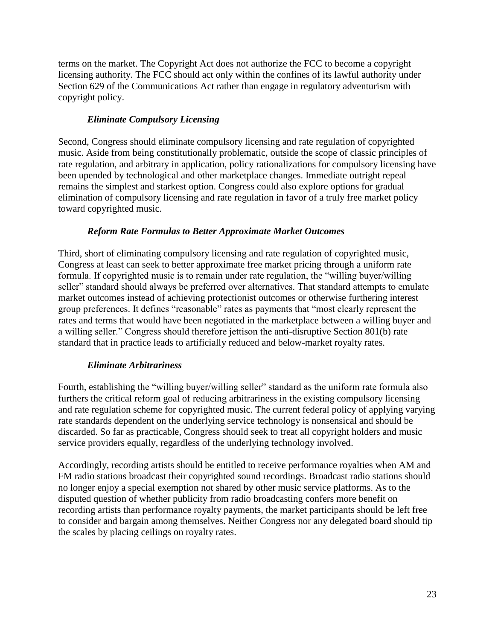terms on the market. The Copyright Act does not authorize the FCC to become a copyright licensing authority. The FCC should act only within the confines of its lawful authority under Section 629 of the Communications Act rather than engage in regulatory adventurism with copyright policy.

#### *Eliminate Compulsory Licensing*

Second, Congress should eliminate compulsory licensing and rate regulation of copyrighted music. Aside from being constitutionally problematic, outside the scope of classic principles of rate regulation, and arbitrary in application, policy rationalizations for compulsory licensing have been upended by technological and other marketplace changes. Immediate outright repeal remains the simplest and starkest option. Congress could also explore options for gradual elimination of compulsory licensing and rate regulation in favor of a truly free market policy toward copyrighted music.

#### *Reform Rate Formulas to Better Approximate Market Outcomes*

Third, short of eliminating compulsory licensing and rate regulation of copyrighted music, Congress at least can seek to better approximate free market pricing through a uniform rate formula. If copyrighted music is to remain under rate regulation, the "willing buyer/willing seller" standard should always be preferred over alternatives. That standard attempts to emulate market outcomes instead of achieving protectionist outcomes or otherwise furthering interest group preferences. It defines "reasonable" rates as payments that "most clearly represent the rates and terms that would have been negotiated in the marketplace between a willing buyer and a willing seller." Congress should therefore jettison the anti-disruptive Section 801(b) rate standard that in practice leads to artificially reduced and below-market royalty rates.

#### *Eliminate Arbitrariness*

Fourth, establishing the "willing buyer/willing seller" standard as the uniform rate formula also furthers the critical reform goal of reducing arbitrariness in the existing compulsory licensing and rate regulation scheme for copyrighted music. The current federal policy of applying varying rate standards dependent on the underlying service technology is nonsensical and should be discarded. So far as practicable, Congress should seek to treat all copyright holders and music service providers equally, regardless of the underlying technology involved.

Accordingly, recording artists should be entitled to receive performance royalties when AM and FM radio stations broadcast their copyrighted sound recordings. Broadcast radio stations should no longer enjoy a special exemption not shared by other music service platforms. As to the disputed question of whether publicity from radio broadcasting confers more benefit on recording artists than performance royalty payments, the market participants should be left free to consider and bargain among themselves. Neither Congress nor any delegated board should tip the scales by placing ceilings on royalty rates.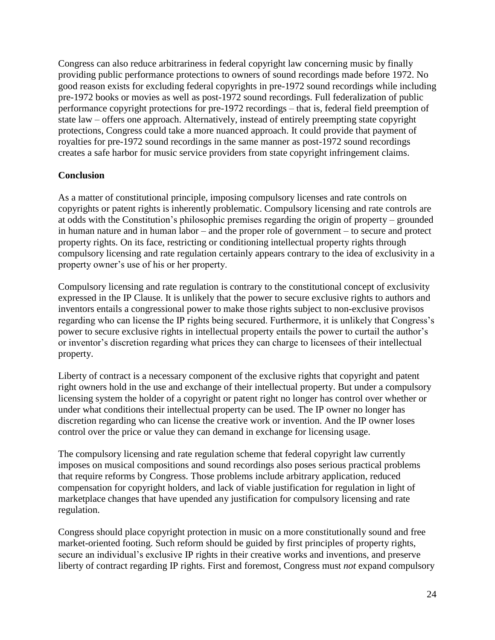Congress can also reduce arbitrariness in federal copyright law concerning music by finally providing public performance protections to owners of sound recordings made before 1972. No good reason exists for excluding federal copyrights in pre-1972 sound recordings while including pre-1972 books or movies as well as post-1972 sound recordings. Full federalization of public performance copyright protections for pre-1972 recordings – that is, federal field preemption of state law – offers one approach. Alternatively, instead of entirely preempting state copyright protections, Congress could take a more nuanced approach. It could provide that payment of royalties for pre-1972 sound recordings in the same manner as post-1972 sound recordings creates a safe harbor for music service providers from state copyright infringement claims.

### **Conclusion**

As a matter of constitutional principle, imposing compulsory licenses and rate controls on copyrights or patent rights is inherently problematic. Compulsory licensing and rate controls are at odds with the Constitution's philosophic premises regarding the origin of property – grounded in human nature and in human labor – and the proper role of government – to secure and protect property rights. On its face, restricting or conditioning intellectual property rights through compulsory licensing and rate regulation certainly appears contrary to the idea of exclusivity in a property owner's use of his or her property.

Compulsory licensing and rate regulation is contrary to the constitutional concept of exclusivity expressed in the IP Clause. It is unlikely that the power to secure exclusive rights to authors and inventors entails a congressional power to make those rights subject to non-exclusive provisos regarding who can license the IP rights being secured. Furthermore, it is unlikely that Congress's power to secure exclusive rights in intellectual property entails the power to curtail the author's or inventor's discretion regarding what prices they can charge to licensees of their intellectual property.

Liberty of contract is a necessary component of the exclusive rights that copyright and patent right owners hold in the use and exchange of their intellectual property. But under a compulsory licensing system the holder of a copyright or patent right no longer has control over whether or under what conditions their intellectual property can be used. The IP owner no longer has discretion regarding who can license the creative work or invention. And the IP owner loses control over the price or value they can demand in exchange for licensing usage.

The compulsory licensing and rate regulation scheme that federal copyright law currently imposes on musical compositions and sound recordings also poses serious practical problems that require reforms by Congress. Those problems include arbitrary application, reduced compensation for copyright holders, and lack of viable justification for regulation in light of marketplace changes that have upended any justification for compulsory licensing and rate regulation.

Congress should place copyright protection in music on a more constitutionally sound and free market-oriented footing. Such reform should be guided by first principles of property rights, secure an individual's exclusive IP rights in their creative works and inventions, and preserve liberty of contract regarding IP rights. First and foremost, Congress must *not* expand compulsory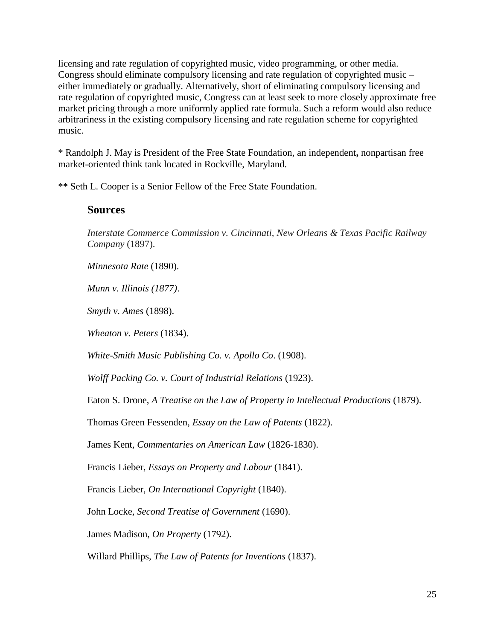licensing and rate regulation of copyrighted music, video programming, or other media. Congress should eliminate compulsory licensing and rate regulation of copyrighted music – either immediately or gradually. Alternatively, short of eliminating compulsory licensing and rate regulation of copyrighted music, Congress can at least seek to more closely approximate free market pricing through a more uniformly applied rate formula. Such a reform would also reduce arbitrariness in the existing compulsory licensing and rate regulation scheme for copyrighted music.

\* Randolph J. May is President of the Free State Foundation, an independent**,** nonpartisan free market-oriented think tank located in Rockville, Maryland.

\*\* Seth L. Cooper is a Senior Fellow of the Free State Foundation.

# **Sources**

*Interstate Commerce Commission v. Cincinnati, New Orleans & Texas Pacific Railway Company* (1897).

*Minnesota Rate* (1890).

*Munn v. Illinois (1877)*.

*Smyth v. Ames* (1898).

*Wheaton v. Peters* (1834).

*White-Smith Music Publishing Co. v. Apollo Co*. (1908).

*Wolff Packing Co. v. Court of Industrial Relations* (1923).

Eaton S. Drone, *A Treatise on the Law of Property in Intellectual Productions* (1879).

Thomas Green Fessenden, *Essay on the Law of Patents* (1822).

James Kent, *Commentaries on American Law* (1826-1830).

Francis Lieber, *Essays on Property and Labour* (1841).

Francis Lieber, *On International Copyright* (1840).

John Locke, *Second Treatise of Government* (1690).

James Madison, *On Property* (1792).

Willard Phillips, *The Law of Patents for Inventions* (1837).